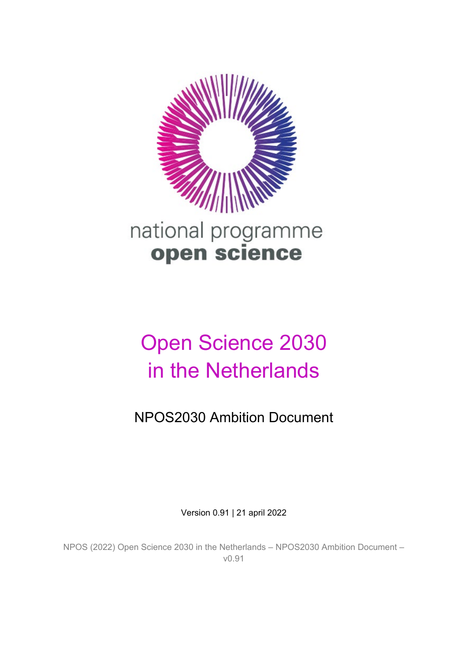

# Open Science 2030 in the Netherlands

NPOS2030 Ambition Document

Version 0.91 | 21 april 2022

NPOS (2022) Open Science 2030 in the Netherlands – NPOS2030 Ambition Document – v0.91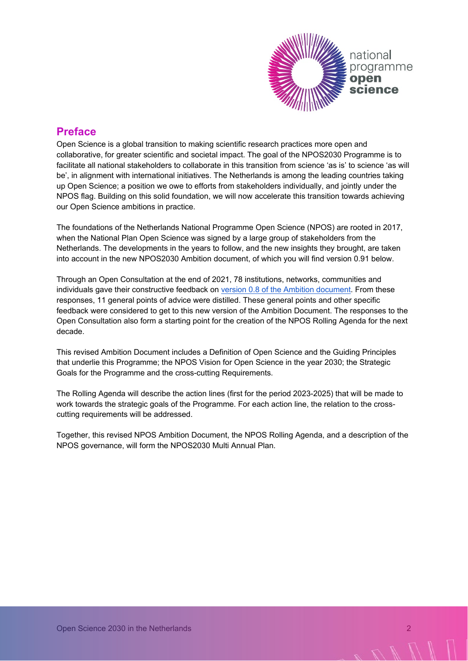

# **Preface**

Open Science is a global transition to making scientific research practices more open and collaborative, for greater scientific and societal impact. The goal of the NPOS2030 Programme is to facilitate all national stakeholders to collaborate in this transition from science 'as is' to science 'as will be', in alignment with international initiatives. The Netherlands is among the leading countries taking up Open Science; a position we owe to efforts from stakeholders individually, and jointly under the NPOS flag. Building on this solid foundation, we will now accelerate this transition towards achieving our Open Science ambitions in practice.

The foundations of the Netherlands National Programme Open Science (NPOS) are rooted in 2017, when the National Plan Open Science was signed by a large group of stakeholders from the Netherlands. The developments in the years to follow, and the new insights they brought, are taken into account in the new NPOS2030 Ambition document, of which you will find version 0.91 below.

Through an Open Consultation at the end of 2021, 78 institutions, networks, communities and individuals gave their constructive feedback on [version 0.8 of the Ambition document.](https://www.openscience.nl/files/openscience/2022-01/Open%20Science%202030%20in%20the%20Netherlands.pdf) From these responses, 11 general points of advice were distilled. These general points and other specific feedback were considered to get to this new version of the Ambition Document. The responses to the Open Consultation also form a starting point for the creation of the NPOS Rolling Agenda for the next decade.

This revised Ambition Document includes a Definition of Open Science and the Guiding Principles that underlie this Programme; the NPOS Vision for Open Science in the year 2030; the Strategic Goals for the Programme and the cross-cutting Requirements.

The Rolling Agenda will describe the action lines (first for the period 2023-2025) that will be made to work towards the strategic goals of the Programme. For each action line, the relation to the crosscutting requirements will be addressed.

Together, this revised NPOS Ambition Document, the NPOS Rolling Agenda, and a description of the NPOS governance, will form the NPOS2030 Multi Annual Plan.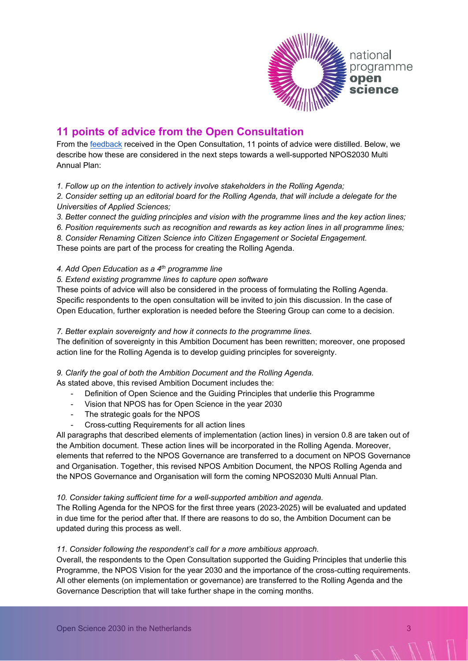

# **11 points of advice from the Open Consultation**

From the [feedback](https://zenodo.org/record/6106850) received in the Open Consultation, 11 points of advice were distilled. Below, we describe how these are considered in the next steps towards a well-supported NPOS2030 Multi Annual Plan:

*1. Follow up on the intention to actively involve stakeholders in the Rolling Agenda;*

*2. Consider setting up an editorial board for the Rolling Agenda, that will include a delegate for the Universities of Applied Sciences;*

*3. Better connect the guiding principles and vision with the programme lines and the key action lines;*

*6. Position requirements such as recognition and rewards as key action lines in all programme lines;*

*8. Consider Renaming Citizen Science into Citizen Engagement or Societal Engagement.*

These points are part of the process for creating the Rolling Agenda.

#### *4. Add Open Education as a 4th programme line*

#### *5. Extend existing programme lines to capture open software*

These points of advice will also be considered in the process of formulating the Rolling Agenda. Specific respondents to the open consultation will be invited to join this discussion. In the case of Open Education, further exploration is needed before the Steering Group can come to a decision.

#### *7. Better explain sovereignty and how it connects to the programme lines.*

The definition of sovereignty in this Ambition Document has been rewritten; moreover, one proposed action line for the Rolling Agenda is to develop guiding principles for sovereignty.

#### *9. Clarify the goal of both the Ambition Document and the Rolling Agenda.*

As stated above, this revised Ambition Document includes the:

- Definition of Open Science and the Guiding Principles that underlie this Programme
- Vision that NPOS has for Open Science in the year 2030
- The strategic goals for the NPOS
- Cross-cutting Requirements for all action lines

All paragraphs that described elements of implementation (action lines) in version 0.8 are taken out of the Ambition document. These action lines will be incorporated in the Rolling Agenda. Moreover, elements that referred to the NPOS Governance are transferred to a document on NPOS Governance and Organisation. Together, this revised NPOS Ambition Document, the NPOS Rolling Agenda and the NPOS Governance and Organisation will form the coming NPOS2030 Multi Annual Plan.

#### *10. Consider taking sufficient time for a well-supported ambition and agenda.*

The Rolling Agenda for the NPOS for the first three years (2023-2025) will be evaluated and updated in due time for the period after that. If there are reasons to do so, the Ambition Document can be updated during this process as well.

#### *11. Consider following the respondent's call for a more ambitious approach.*

Overall, the respondents to the Open Consultation supported the Guiding Principles that underlie this Programme, the NPOS Vision for the year 2030 and the importance of the cross-cutting requirements. All other elements (on implementation or governance) are transferred to the Rolling Agenda and the Governance Description that will take further shape in the coming months.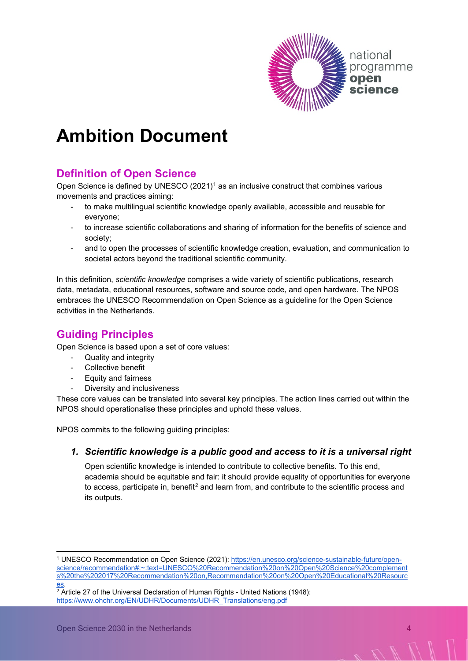

# **Ambition Document**

# **Definition of Open Science**

Open Science is defined by UNESCO  $(2021)^1$  $(2021)^1$  $(2021)^1$  as an inclusive construct that combines various movements and practices aiming:

- to make multilingual scientific knowledge openly available, accessible and reusable for everyone;
- to increase scientific collaborations and sharing of information for the benefits of science and society;
- and to open the processes of scientific knowledge creation, evaluation, and communication to societal actors beyond the traditional scientific community.

In this definition, *scientific knowledge* comprises a wide variety of scientific publications, research data, metadata, educational resources, software and source code, and open hardware. The NPOS embraces the UNESCO Recommendation on Open Science as a guideline for the Open Science activities in the Netherlands.

# **Guiding Principles**

Open Science is based upon a set of core values:

- Quality and integrity
- Collective benefit
- Equity and fairness
- Diversity and inclusiveness

These core values can be translated into several key principles. The action lines carried out within the NPOS should operationalise these principles and uphold these values.

NPOS commits to the following guiding principles:

#### *1. Scientific knowledge is a public good and access to it is a universal right*

Open scientific knowledge is intended to contribute to collective benefits. To this end, academia should be equitable and fair: it should provide equality of opportunities for everyone to access, participate in, benefit<sup>[2](#page-3-1)</sup> and learn from, and contribute to the scientific process and its outputs.

<span id="page-3-0"></span><sup>1</sup> UNESCO Recommendation on Open Science (2021): [https://en.unesco.org/science-sustainable-future/open](https://en.unesco.org/science-sustainable-future/open-science/recommendation#:%7E:text=UNESCO%20Recommendation%20on%20Open%20Science%20complements%20the%202017%20Recommendation%20on,Recommendation%20on%20Open%20Educational%20Resources)[science/recommendation#:~:text=UNESCO%20Recommendation%20on%20Open%20Science%20complement](https://en.unesco.org/science-sustainable-future/open-science/recommendation#:%7E:text=UNESCO%20Recommendation%20on%20Open%20Science%20complements%20the%202017%20Recommendation%20on,Recommendation%20on%20Open%20Educational%20Resources) [s%20the%202017%20Recommendation%20on,Recommendation%20on%20Open%20Educational%20Resourc](https://en.unesco.org/science-sustainable-future/open-science/recommendation#:%7E:text=UNESCO%20Recommendation%20on%20Open%20Science%20complements%20the%202017%20Recommendation%20on,Recommendation%20on%20Open%20Educational%20Resources)

<span id="page-3-1"></span>es.<br><sup>2</sup> Article 27 of the Universal Declaration of Human Rights - United Nations (1948): [https://www.ohchr.org/EN/UDHR/Documents/UDHR\\_Translations/eng.pdf](https://www.ohchr.org/EN/UDHR/Documents/UDHR_Translations/eng.pdf)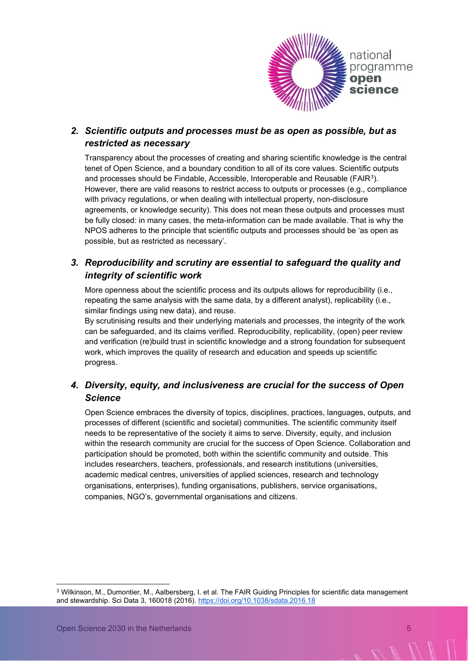

#### *2. Scientific outputs and processes must be as open as possible, but as restricted as necessary*

Transparency about the processes of creating and sharing scientific knowledge is the central tenet of Open Science, and a boundary condition to all of its core values. Scientific outputs and processes should be Findable, Accessible, Interoperable and Reusable ( $FAIR<sup>3</sup>$ ). However, there are valid reasons to restrict access to outputs or processes (e.g., compliance with privacy regulations, or when dealing with intellectual property, non-disclosure agreements, or knowledge security). This does not mean these outputs and processes must be fully closed: in many cases, the meta-information can be made available. That is why the NPOS adheres to the principle that scientific outputs and processes should be 'as open as possible, but as restricted as necessary'.

#### *3. Reproducibility and scrutiny are essential to safeguard the quality and integrity of scientific work*

More openness about the scientific process and its outputs allows for reproducibility (i.e., repeating the same analysis with the same data, by a different analyst), replicability (i.e., similar findings using new data), and reuse.

By scrutinising results and their underlying materials and processes, the integrity of the work can be safeguarded, and its claims verified. Reproducibility, replicability, (open) peer review and verification (re)build trust in scientific knowledge and a strong foundation for subsequent work, which improves the quality of research and education and speeds up scientific progress.

#### *4. Diversity, equity, and inclusiveness are crucial for the success of Open Science*

Open Science embraces the diversity of topics, disciplines, practices, languages, outputs, and processes of different (scientific and societal) communities. The scientific community itself needs to be representative of the society it aims to serve. Diversity, equity, and inclusion within the research community are crucial for the success of Open Science. Collaboration and participation should be promoted, both within the scientific community and outside. This includes researchers, teachers, professionals, and research institutions (universities, academic medical centres, universities of applied sciences, research and technology organisations, enterprises), funding organisations, publishers, service organisations, companies, NGO's, governmental organisations and citizens.

<span id="page-4-0"></span><sup>3</sup> Wilkinson, M., Dumontier, M., Aalbersberg, I. et al. The FAIR Guiding Principles for scientific data management and stewardship. Sci Data 3, 160018 (2016)[. https://doi.org/10.1038/sdata.2016.18](https://doi.org/10.1038/sdata.2016.18)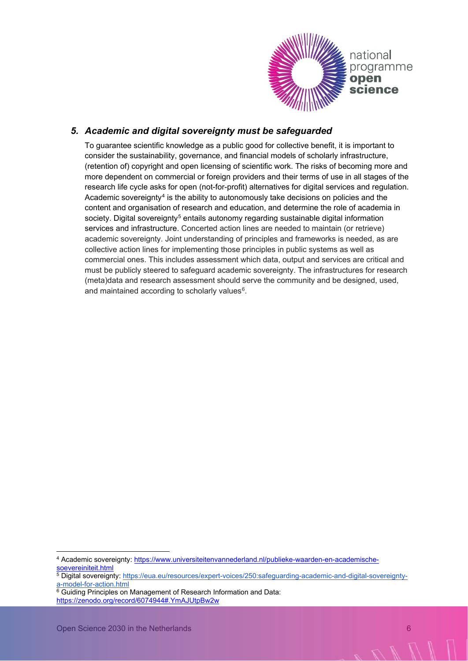

#### *5. Academic and digital sovereignty must be safeguarded*

To guarantee scientific knowledge as a public good for collective benefit, it is important to consider the sustainability, governance, and financial models of scholarly infrastructure, (retention of) copyright and open licensing of scientific work. The risks of becoming more and more dependent on commercial or foreign providers and their terms of use in all stages of the research life cycle asks for open (not-for-profit) alternatives for digital services and regulation. Academic sovereignty<sup>4</sup> is the ability to autonomously take decisions on policies and the content and organisation of research and education, and determine the role of academia in society. Digital sovereignty<sup>[5](#page-5-1)</sup> entails autonomy regarding sustainable digital information services and infrastructure. Concerted action lines are needed to maintain (or retrieve) academic sovereignty. Joint understanding of principles and frameworks is needed, as are collective action lines for implementing those principles in public systems as well as commercial ones. This includes assessment which data, output and services are critical and must be publicly steered to safeguard academic sovereignty. The infrastructures for research (meta)data and research assessment should serve the community and be designed, used, and maintained according to scholarly values<sup>6</sup>.

<span id="page-5-0"></span><sup>4</sup> Academic sovereignty[:](https://vsnu.nl/en_GB/publieke-waarden-en-academische-soevereiniteit.html) [https://www.universiteitenvannederland.nl/publieke-waarden-en-academische-](https://www.universiteitenvannederland.nl/publieke-waarden-en-academische-soevereiniteit.html)

<span id="page-5-1"></span><sup>5</sup> Digital sovereignty: [https://eua.eu/resources/expert-voices/250:safeguarding-academic-and-digital-sovereignty](https://eua.eu/resources/expert-voices/250:safeguarding-academic-and-digital-sovereignty-a-model-for-action.html)a-model-for-action.html<br><sup>6</sup> Guiding Principles on Management of Research Information and Data:

<span id="page-5-2"></span><https://zenodo.org/record/6074944#.YmAJUtpBw2w>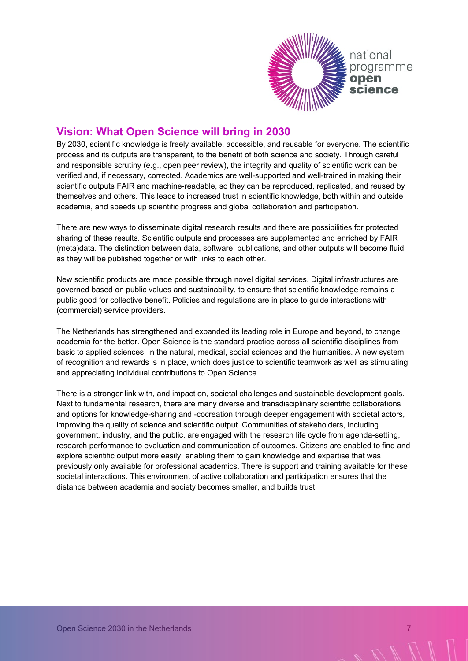

# **Vision: What Open Science will bring in 2030**

By 2030, scientific knowledge is freely available, accessible, and reusable for everyone. The scientific process and its outputs are transparent, to the benefit of both science and society. Through careful and responsible scrutiny (e.g., open peer review), the integrity and quality of scientific work can be verified and, if necessary, corrected. Academics are well-supported and well-trained in making their scientific outputs FAIR and machine-readable, so they can be reproduced, replicated, and reused by themselves and others. This leads to increased trust in scientific knowledge, both within and outside academia, and speeds up scientific progress and global collaboration and participation.

There are new ways to disseminate digital research results and there are possibilities for protected sharing of these results. Scientific outputs and processes are supplemented and enriched by FAIR (meta)data. The distinction between data, software, publications, and other outputs will become fluid as they will be published together or with links to each other.

New scientific products are made possible through novel digital services. Digital infrastructures are governed based on public values and sustainability, to ensure that scientific knowledge remains a public good for collective benefit. Policies and regulations are in place to guide interactions with (commercial) service providers.

The Netherlands has strengthened and expanded its leading role in Europe and beyond, to change academia for the better. Open Science is the standard practice across all scientific disciplines from basic to applied sciences, in the natural, medical, social sciences and the humanities. A new system of recognition and rewards is in place, which does justice to scientific teamwork as well as stimulating and appreciating individual contributions to Open Science.

There is a stronger link with, and impact on, societal challenges and sustainable development goals. Next to fundamental research, there are many diverse and transdisciplinary scientific collaborations and options for knowledge-sharing and -cocreation through deeper engagement with societal actors, improving the quality of science and scientific output. Communities of stakeholders, including government, industry, and the public, are engaged with the research life cycle from agenda-setting, research performance to evaluation and communication of outcomes. Citizens are enabled to find and explore scientific output more easily, enabling them to gain knowledge and expertise that was previously only available for professional academics. There is support and training available for these societal interactions. This environment of active collaboration and participation ensures that the distance between academia and society becomes smaller, and builds trust.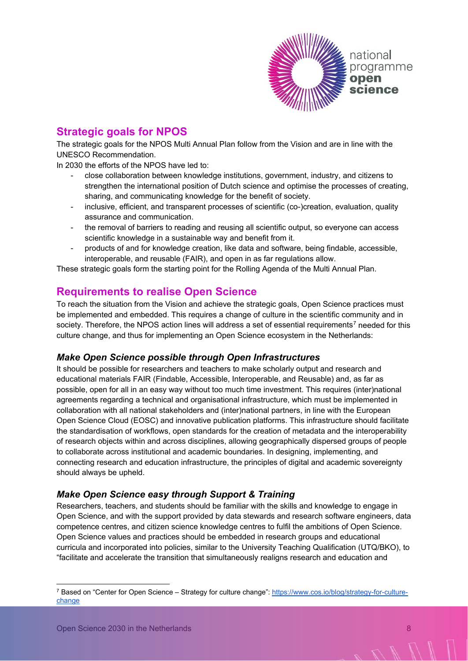

# **Strategic goals for NPOS**

The strategic goals for the NPOS Multi Annual Plan follow from the Vision and are in line with the UNESCO Recommendation.

In 2030 the efforts of the NPOS have led to:

- close collaboration between knowledge institutions, government, industry, and citizens to strengthen the international position of Dutch science and optimise the processes of creating, sharing, and communicating knowledge for the benefit of society.
- inclusive, efficient, and transparent processes of scientific (co-)creation, evaluation, quality assurance and communication.
- the removal of barriers to reading and reusing all scientific output, so everyone can access scientific knowledge in a sustainable way and benefit from it.
- products of and for knowledge creation, like data and software, being findable, accessible, interoperable, and reusable (FAIR), and open in as far regulations allow.

These strategic goals form the starting point for the Rolling Agenda of the Multi Annual Plan.

### **Requirements to realise Open Science**

To reach the situation from the Vision and achieve the strategic goals, Open Science practices must be implemented and embedded. This requires a change of culture in the scientific community and in society. Therefore, the NPOS action lines will address a set of essential requirements<sup>[7](#page-7-0)</sup> needed for this culture change, and thus for implementing an Open Science ecosystem in the Netherlands:

#### *Make Open Science possible through Open Infrastructures*

It should be possible for researchers and teachers to make scholarly output and research and educational materials FAIR (Findable, Accessible, Interoperable, and Reusable) and, as far as possible, open for all in an easy way without too much time investment. This requires (inter)national agreements regarding a technical and organisational infrastructure, which must be implemented in collaboration with all national stakeholders and (inter)national partners, in line with the European Open Science Cloud (EOSC) and innovative publication platforms. This infrastructure should facilitate the standardisation of workflows, open standards for the creation of metadata and the interoperability of research objects within and across disciplines, allowing geographically dispersed groups of people to collaborate across institutional and academic boundaries. In designing, implementing, and connecting research and education infrastructure, the principles of digital and academic sovereignty should always be upheld.

#### *Make Open Science easy through Support & Training*

Researchers, teachers, and students should be familiar with the skills and knowledge to engage in Open Science, and with the support provided by data stewards and research software engineers, data competence centres, and citizen science knowledge centres to fulfil the ambitions of Open Science. Open Science values and practices should be embedded in research groups and educational curricula and incorporated into policies, similar to the University Teaching Qualification (UTQ/BKO), to "facilitate and accelerate the transition that simultaneously realigns research and education and

<span id="page-7-0"></span><sup>7</sup> Based on "Center for Open Science – Strategy for culture change": [https://www.cos.io/blog/strategy-for-culture](https://www.cos.io/blog/strategy-for-culture-change)[change](https://www.cos.io/blog/strategy-for-culture-change)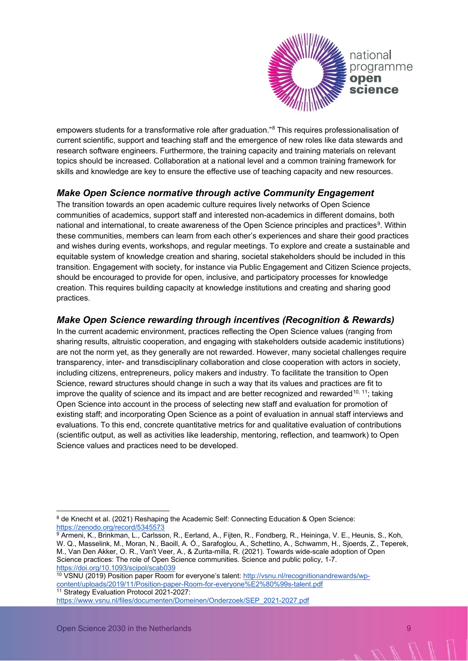

empowers students for a transformative role after graduation."<sup>[8](#page-8-0)</sup> This requires professionalisation of current scientific, support and teaching staff and the emergence of new roles like data stewards and research software engineers. Furthermore, the training capacity and training materials on relevant topics should be increased. Collaboration at a national level and a common training framework for skills and knowledge are key to ensure the effective use of teaching capacity and new resources.

#### *Make Open Science normative through active Community Engagement*

The transition towards an open academic culture requires lively networks of Open Science communities of academics, support staff and interested non-academics in different domains, both national and international, to create awareness of the Open Science principles and practices<sup>9</sup>. Within these communities, members can learn from each other's experiences and share their good practices and wishes during events, workshops, and regular meetings. To explore and create a sustainable and equitable system of knowledge creation and sharing, societal stakeholders should be included in this transition. Engagement with society, for instance via Public Engagement and Citizen Science projects, should be encouraged to provide for open, inclusive, and participatory processes for knowledge creation. This requires building capacity at knowledge institutions and creating and sharing good practices.

#### *Make Open Science rewarding through incentives (Recognition & Rewards)*

In the current academic environment, practices reflecting the Open Science values (ranging from sharing results, altruistic cooperation, and engaging with stakeholders outside academic institutions) are not the norm yet, as they generally are not rewarded. However, many societal challenges require transparency, inter- and transdisciplinary collaboration and close cooperation with actors in society, including citizens, entrepreneurs, policy makers and industry. To facilitate the transition to Open Science, reward structures should change in such a way that its values and practices are fit to improve the quality of science and its impact and are better recognized and rewarded<sup>10, [11](#page-8-3)</sup>; taking Open Science into account in the process of selecting new staff and evaluation for promotion of existing staff; and incorporating Open Science as a point of evaluation in annual staff interviews and evaluations. To this end, concrete quantitative metrics for and qualitative evaluation of contributions (scientific output, as well as activities like leadership, mentoring, reflection, and teamwork) to Open Science values and practices need to be developed.

<span id="page-8-0"></span><sup>&</sup>lt;sup>8</sup> de Knecht et al. (2021) Reshaping the Academic Self: Connecting Education & Open Science:<br>https://zenodo.org/record/5345573

<span id="page-8-1"></span><sup>&</sup>lt;sup>9</sup> Armeni, K., Brinkman, L., Carlsson, R., Eerland, A., Fijten, R., Fondberg, R., Heininga, V. E., Heunis, S., Koh, W. Q., Masselink, M., Moran, N., Baoill, A. Ó., Sarafoglou, A., Schettino, A., Schwamm, H., Sjoerds, Z., Teperek, M., Van Den Akker, O. R., Van't Veer, A., & Zurita-milla, R. (2021). Towards wide-scale adoption of Open Science practices: The role of Open Science communities. Science and public policy, 1-7.<br>https://doi.org/10.1093/scipol/scab039

<span id="page-8-3"></span><span id="page-8-2"></span><sup>10</sup> VSNU (2019) Position paper Room for everyone's talent: [http://vsnu.nl/recognitionandrewards/wp](http://vsnu.nl/recognitionandrewards/wp-content/uploads/2019/11/Position-paper-Room-for-everyone%E2%80%99s-talent.pdf)[content/uploads/2019/11/Position-paper-Room-for-everyone%E2%80%99s-talent.pdf](http://vsnu.nl/recognitionandrewards/wp-content/uploads/2019/11/Position-paper-Room-for-everyone%E2%80%99s-talent.pdf) 11 Strategy Evaluation Protocol 2021-2027: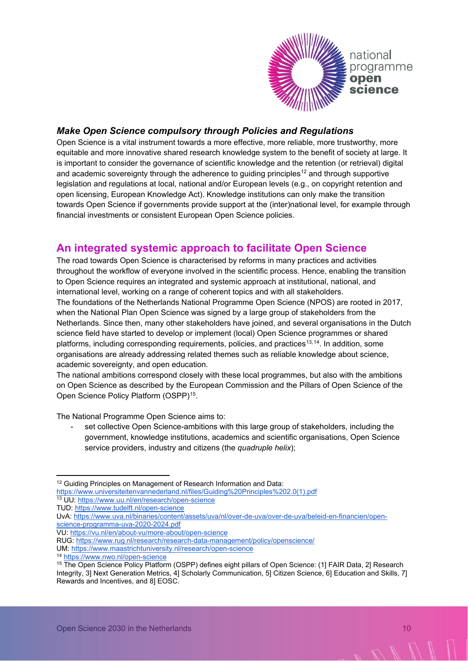

#### *Make Open Science compulsory through Policies and Regulations*

Open Science is a vital instrument towards a more effective, more reliable, more trustworthy, more equitable and more innovative shared research knowledge system to the benefit of society at large. It is important to consider the governance of scientific knowledge and the retention (or retrieval) digital and academic sovereignty through the adherence to guiding principles<sup>[12](#page-9-0)</sup> and through supportive legislation and regulations at local, national and/or European levels (e.g., on copyright retention and open licensing, European Knowledge Act). Knowledge institutions can only make the transition towards Open Science if governments provide support at the (inter)national level, for example through financial investments or consistent European Open Science policies.

## **An integrated systemic approach to facilitate Open Science**

The road towards Open Science is characterised by reforms in many practices and activities throughout the workflow of everyone involved in the scientific process. Hence, enabling the transition to Open Science requires an integrated and systemic approach at institutional, national, and international level, working on a range of coherent topics and with all stakeholders. The foundations of the Netherlands National Programme Open Science (NPOS) are rooted in 2017, when the National Plan Open Science was signed by a large group of stakeholders from the Netherlands. Since then, many other stakeholders have joined, and several organisations in the Dutch science field have started to develop or implement (local) Open Science programmes or shared platforms, including corresponding requirements, policies, and practices<sup>[13](#page-9-1),14</sup>. In addition, some organisations are already addressing related themes such as reliable knowledge about science, academic sovereignty, and open education.

The national ambitions correspond closely with these local programmes, but also with the ambitions on Open Science as described by the European Commission and the Pillars of Open Science of the Open Science Policy Platform (OSPP)[15](#page-9-3).

The National Programme Open Science aims to:

set collective Open Science-ambitions with this large group of stakeholders, including the government, knowledge institutions, academics and scientific organisations, Open Science service providers, industry and citizens (the *quadruple helix*);

<span id="page-9-3"></span>

<span id="page-9-0"></span><sup>&</sup>lt;sup>12</sup> Guiding Principles on Management of Research Information and Data:

<span id="page-9-1"></span>[https://www.universiteitenvannederland.nl/files/Guiding%20Principles%202.0\(1\).pdf](https://www.universiteitenvannederland.nl/files/Guiding%20Principles%202.0(1).pdf) 13 UU:<https://www.uu.nl/en/research/open-science>

TUD:<https://www.tudelft.nl/open-science>

UvA: [https://www.uva.nl/binaries/content/assets/uva/nl/over-de-uva/over-de-uva/beleid-en-financien/open](https://www.uva.nl/binaries/content/assets/uva/nl/over-de-uva/over-de-uva/beleid-en-financien/open-science-programma-uva-2020-2024.pdf)[science-programma-uva-2020-2024.pdf](https://www.uva.nl/binaries/content/assets/uva/nl/over-de-uva/over-de-uva/beleid-en-financien/open-science-programma-uva-2020-2024.pdf) 

VU:<https://vu.nl/en/about-vu/more-about/open-science>

RUG:<https://www.rug.nl/research/research-data-management/policy/openscience/>

<span id="page-9-2"></span>UM: <u>https://www.maastrichtuniversity.nl/research/open-science</u><br><sup>14</sup> https://www.nwo.nl/open-science<br><sup>15</sup> The Open Science Policy Platform (OSPP) defines eight pillars of Open Science: (1] FAIR Data, 2] Research Integrity, 3] Next Generation Metrics, 4] Scholarly Communication, 5] Citizen Science, 6] Education and Skills, 7] Rewards and Incentives, and 8] EOSC.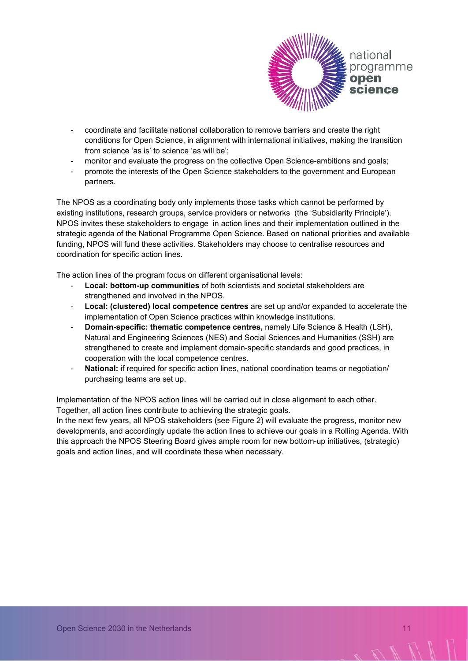

- coordinate and facilitate national collaboration to remove barriers and create the right conditions for Open Science, in alignment with international initiatives, making the transition from science 'as is' to science 'as will be';
- monitor and evaluate the progress on the collective Open Science-ambitions and goals;
- promote the interests of the Open Science stakeholders to the government and European partners.

The NPOS as a coordinating body only implements those tasks which cannot be performed by existing institutions, research groups, service providers or networks (the 'Subsidiarity Principle'). NPOS invites these stakeholders to engage in action lines and their implementation outlined in the strategic agenda of the National Programme Open Science. Based on national priorities and available funding, NPOS will fund these activities. Stakeholders may choose to centralise resources and coordination for specific action lines.

The action lines of the program focus on different organisational levels:

- **Local: bottom-up communities** of both scientists and societal stakeholders are strengthened and involved in the NPOS.
- **Local: (clustered) local competence centres** are set up and/or expanded to accelerate the implementation of Open Science practices within knowledge institutions.
- **Domain-specific: thematic competence centres,** namely Life Science & Health (LSH), Natural and Engineering Sciences (NES) and Social Sciences and Humanities (SSH) are strengthened to create and implement domain-specific standards and good practices, in cooperation with the local competence centres.
- National: if required for specific action lines, national coordination teams or negotiation/ purchasing teams are set up.

Implementation of the NPOS action lines will be carried out in close alignment to each other. Together, all action lines contribute to achieving the strategic goals.

In the next few years, all NPOS stakeholders (see Figure 2) will evaluate the progress, monitor new developments, and accordingly update the action lines to achieve our goals in a Rolling Agenda. With this approach the NPOS Steering Board gives ample room for new bottom-up initiatives, (strategic) goals and action lines, and will coordinate these when necessary.